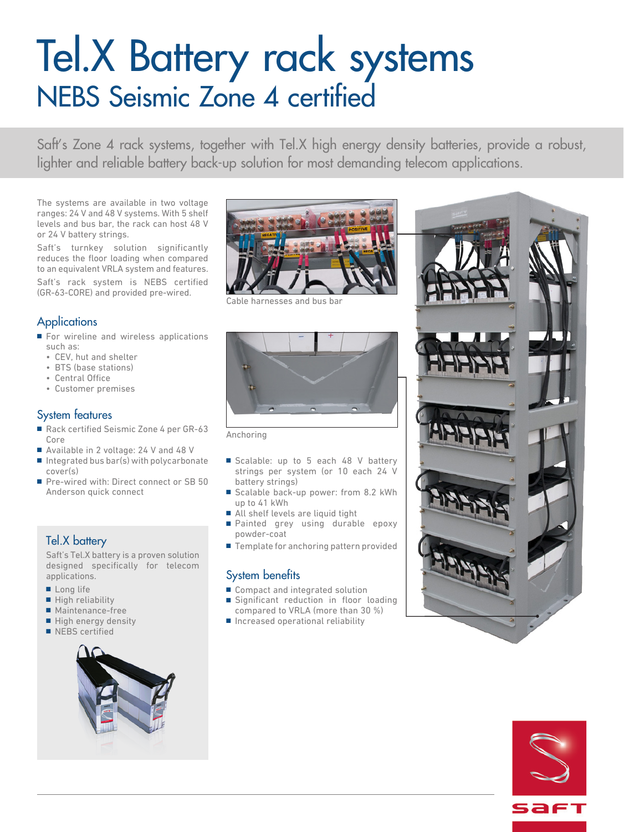# Tel.X Battery rack systems NEBS Seismic Zone 4 certified

Saft's Zone 4 rack systems, together with Tel.X high energy density batteries, provide a robust, lighter and reliable battery back-up solution for most demanding telecom applications.

The systems are available in two voltage ranges: 24 V and 48 V systems. With 5 shelf levels and bus bar, the rack can host 48 V or 24 V battery strings.

Saft's turnkey solution significantly reduces the floor loading when compared to an equivalent VRLA system and features. Saft's rack system is NEBS certified (GR-63-CORE) and provided pre-wired.

## **Applications**

- For wireline and wireless applications such as:
	- CEV, hut and shelter
	- BTS (base stations)
	- Central Office
	- Customer premises

#### System features

- Rack certified Seismic Zone 4 per GR-63 Core
- Available in 2 voltage: 24 V and 48 V
- $\blacksquare$  Integrated bus bar(s) with polycarbonate cover(s)
- Pre-wired with: Direct connect or SB 50 Anderson quick connect

### Tel.X battery

Saft's Tel.X battery is a proven solution designed specifically for telecom applications.

- Long life
- High reliability
- Maintenance-free
- High energy density
- NEBS certified





and



Anchoring

- Scalable: up to 5 each 48 V battery strings per system (or 10 each 24 V battery strings)
- Scalable back-up power: from 8.2 kWh up to 41 kWh
- All shelf levels are liquid tight
- Painted grey using durable epoxy powder-coat
- Template for anchoring pattern provided

#### System benefits

- Compact and integrated solution
- Significant reduction in floor loading compared to VRLA (more than 30 %)
- Increased operational reliability